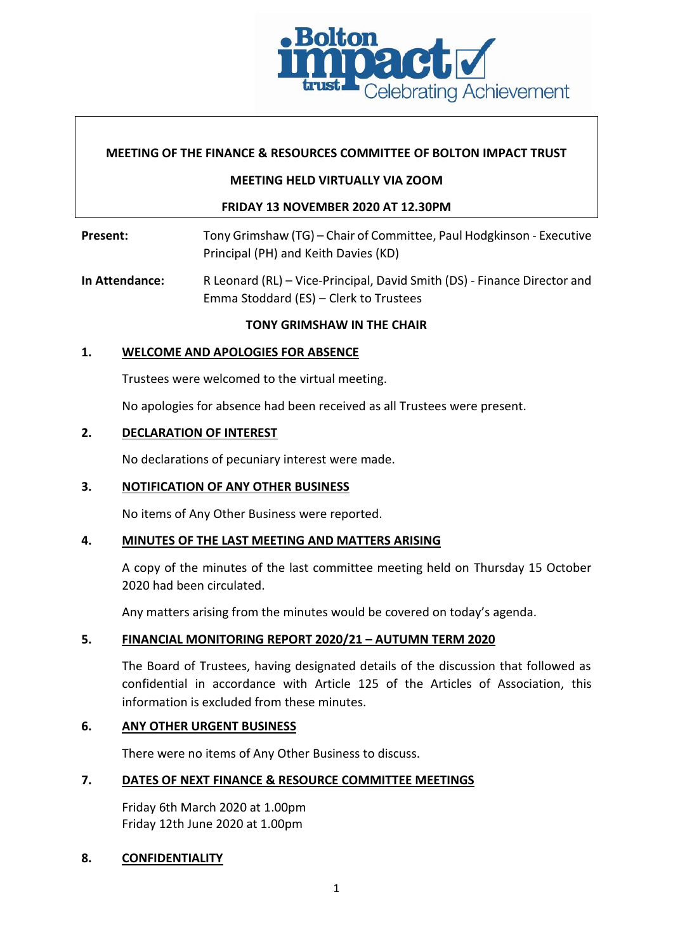

### **MEETING OF THE FINANCE & RESOURCES COMMITTEE OF BOLTON IMPACT TRUST**

#### **MEETING HELD VIRTUALLY VIA ZOOM**

## **FRIDAY 13 NOVEMBER 2020 AT 12.30PM**

Present: Tony Grimshaw (TG) – Chair of Committee, Paul Hodgkinson - Executive Principal (PH) and Keith Davies (KD)

**In Attendance:** R Leonard (RL) – Vice-Principal, David Smith (DS) - Finance Director and Emma Stoddard (ES) – Clerk to Trustees

## **TONY GRIMSHAW IN THE CHAIR**

## **1. WELCOME AND APOLOGIES FOR ABSENCE**

Trustees were welcomed to the virtual meeting.

No apologies for absence had been received as all Trustees were present.

#### **2. DECLARATION OF INTEREST**

No declarations of pecuniary interest were made.

#### **3. NOTIFICATION OF ANY OTHER BUSINESS**

No items of Any Other Business were reported.

#### **4. MINUTES OF THE LAST MEETING AND MATTERS ARISING**

A copy of the minutes of the last committee meeting held on Thursday 15 October 2020 had been circulated.

Any matters arising from the minutes would be covered on today's agenda.

# **5. FINANCIAL MONITORING REPORT 2020/21 – AUTUMN TERM 2020**

The Board of Trustees, having designated details of the discussion that followed as confidential in accordance with Article 125 of the Articles of Association, this information is excluded from these minutes.

#### **6. ANY OTHER URGENT BUSINESS**

There were no items of Any Other Business to discuss.

#### **7. DATES OF NEXT FINANCE & RESOURCE COMMITTEE MEETINGS**

Friday 6th March 2020 at 1.00pm Friday 12th June 2020 at 1.00pm

#### **8. CONFIDENTIALITY**